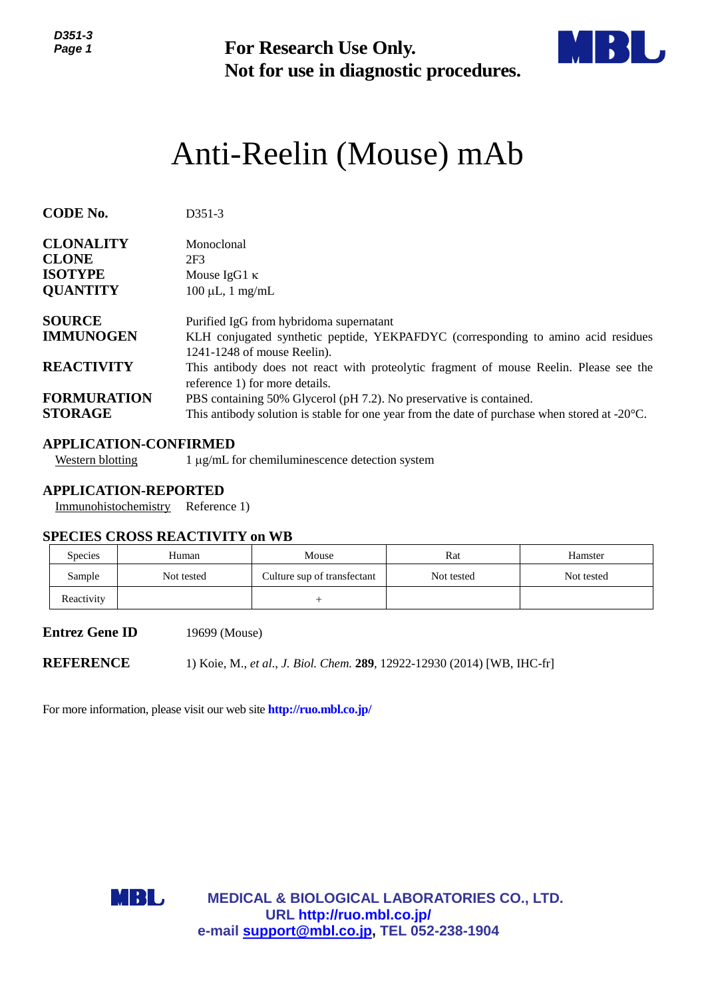*D351-3 Page 1*



# Anti-Reelin (Mouse) mAb

| ט־ו טטע<br>Page 1                                                     |                                                                               | <b>For Research Use Only.</b><br>Not for use in diagnostic procedures.                                                                                                                                                                                                                                     |                   |                       |  |  |  |
|-----------------------------------------------------------------------|-------------------------------------------------------------------------------|------------------------------------------------------------------------------------------------------------------------------------------------------------------------------------------------------------------------------------------------------------------------------------------------------------|-------------------|-----------------------|--|--|--|
| Anti-Reelin (Mouse) mAb                                               |                                                                               |                                                                                                                                                                                                                                                                                                            |                   |                       |  |  |  |
| <b>CODE No.</b>                                                       | D351-3                                                                        |                                                                                                                                                                                                                                                                                                            |                   |                       |  |  |  |
| <b>CLONALITY</b><br><b>CLONE</b><br><b>ISOTYPE</b><br><b>QUANTITY</b> | Monoclonal<br>2F <sub>3</sub><br>Mouse IgG1 $\kappa$<br>$100 \mu L$ , 1 mg/mL |                                                                                                                                                                                                                                                                                                            |                   |                       |  |  |  |
| <b>SOURCE</b><br><b>IMMUNOGEN</b><br><b>REACTIVITY</b>                |                                                                               | Purified IgG from hybridoma supernatant<br>KLH conjugated synthetic peptide, YEKPAFDYC (corresponding to amino acid residues<br>1241-1248 of mouse Reelin).                                                                                                                                                |                   |                       |  |  |  |
| <b>FORMURATION</b><br><b>STORAGE</b>                                  |                                                                               | This antibody does not react with proteolytic fragment of mouse Reelin. Please see the<br>reference 1) for more details.<br>PBS containing 50% Glycerol (pH 7.2). No preservative is contained.<br>This antibody solution is stable for one year from the date of purchase when stored at $-20^{\circ}$ C. |                   |                       |  |  |  |
| <b>APPLICATION-CONFIRMED</b><br><b>Western blotting</b>               |                                                                               | 1 μg/mL for chemiluminescence detection system                                                                                                                                                                                                                                                             |                   |                       |  |  |  |
| <b>APPLICATION-REPORTED</b><br>Immunohistochemistry                   | Reference 1)                                                                  |                                                                                                                                                                                                                                                                                                            |                   |                       |  |  |  |
| <b>SPECIES CROSS REACTIVITY on WB</b>                                 |                                                                               |                                                                                                                                                                                                                                                                                                            |                   |                       |  |  |  |
| Species<br>Sample                                                     | Human<br>Not tested                                                           | Mouse<br>Culture sup of transfectant                                                                                                                                                                                                                                                                       | Rat<br>Not tested | Hamster<br>Not tested |  |  |  |
| Reactivity                                                            |                                                                               | $^{+}$                                                                                                                                                                                                                                                                                                     |                   |                       |  |  |  |
| <b>Entrez Gene ID</b>                                                 | 19699 (Mouse)                                                                 |                                                                                                                                                                                                                                                                                                            |                   |                       |  |  |  |
| <b>REFERENCE</b>                                                      |                                                                               | 1) Koie, M., et al., J. Biol. Chem. 289, 12922-12930 (2014) [WB, IHC-fr]                                                                                                                                                                                                                                   |                   |                       |  |  |  |
|                                                                       |                                                                               | For more information, please visit our web site <b>http://ruo.mbl.co.jp/</b>                                                                                                                                                                                                                               |                   |                       |  |  |  |
| MBL                                                                   |                                                                               | <b>MEDICAL &amp; BIOLOGICAL LABORATORIES CO., LTD.</b><br>URL http://ruo.mbl.co.jp/<br>e-mail support@mbl.co.jp, TEL 052-238-1904                                                                                                                                                                          |                   |                       |  |  |  |

## **APPLICATION-CONFIRMED**

## **APPLICATION-REPORTED**

#### **SPECIES CROSS REACTIVITY on WB**

| <b>Species</b> | Human      | Mouse                       | Rat        | Hamster    |
|----------------|------------|-----------------------------|------------|------------|
| Sample         | Not tested | Culture sup of transfectant | Not tested | Not tested |
| Reactivity     |            |                             |            |            |

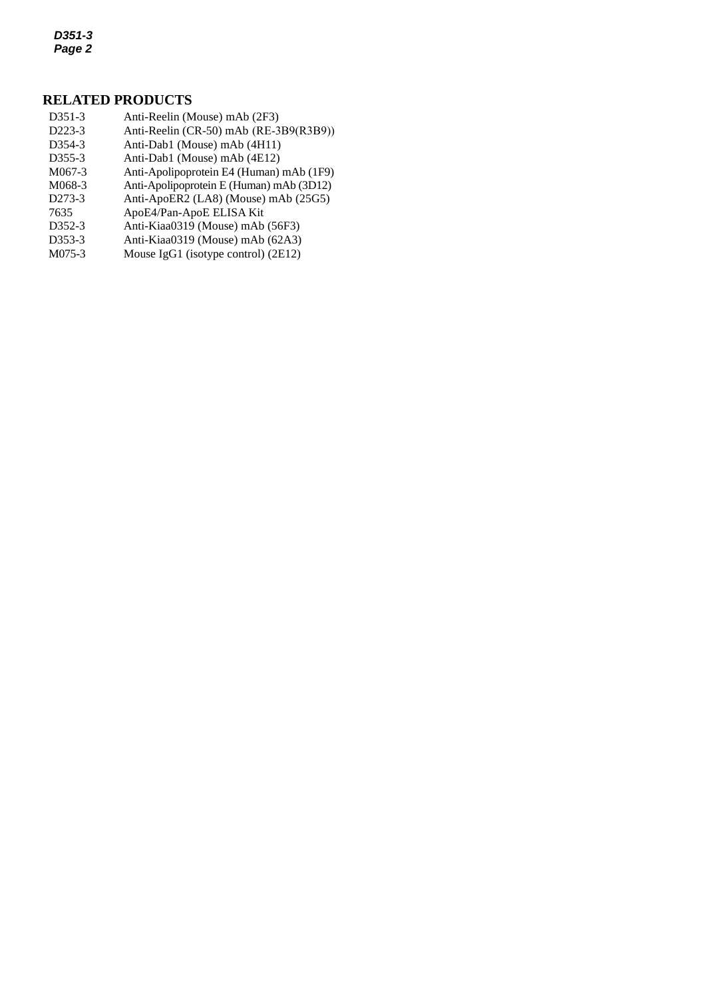*D351-3 Page 2*

# **RELATED PRODUCTS**

- *3* D223-3 Anti-Reelin [\(CR-50\) mAb](http://ruo.mbl.co.jp/dtl/A/K0106-3/) (RE-3B9(R3B9)) D351-3 Anti-Reelin (Mouse) mAb (2F3) D354-3 Anti-Dab1 (Mouse) mAb (4H11) D355-3 Anti-Dab1 (Mouse) mAb (4E12) M067-3 Anti-Apolipoprotein E4 (Human) mAb (1F9) M068-3 Anti-Apolipoprotein E (Human) mAb (3D12) D273-3 [Anti-ApoER2 \(LA8\) \(Mouse\) mAb](http://ruo.mbl.co.jp/dtl/A/D273-3/) (25G5) 7635 ApoE4/Pan-ApoE ELISA Kit D352-3 Anti-Kiaa0319 (Mouse) mAb (56F3) D353-3 [Anti-Kiaa0319](http://ruo.mbl.co.jp/dtl/A/K0106-3/) (Mouse) mAb (62A3)<br>M075-3 Mouse IgG1 (isotype control) (2E12)
- [Mouse IgG1 \(isotype control\)](http://ruo.mbl.co.jp/dtl/A/M075-3/) (2E12)